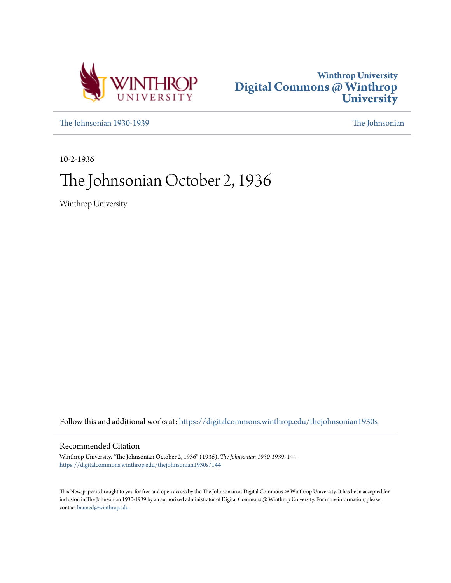



[The Johnsonian 1930-1939](https://digitalcommons.winthrop.edu/thejohnsonian1930s?utm_source=digitalcommons.winthrop.edu%2Fthejohnsonian1930s%2F144&utm_medium=PDF&utm_campaign=PDFCoverPages) [The Johnsonian](https://digitalcommons.winthrop.edu/thejohnsonian_newspaper?utm_source=digitalcommons.winthrop.edu%2Fthejohnsonian1930s%2F144&utm_medium=PDF&utm_campaign=PDFCoverPages)

10-2-1936

# The Johnsonian October 2, 1936

Winthrop University

Follow this and additional works at: [https://digitalcommons.winthrop.edu/thejohnsonian1930s](https://digitalcommons.winthrop.edu/thejohnsonian1930s?utm_source=digitalcommons.winthrop.edu%2Fthejohnsonian1930s%2F144&utm_medium=PDF&utm_campaign=PDFCoverPages)

## Recommended Citation

Winthrop University, "The Johnsonian October 2, 1936" (1936). *The Johnsonian 1930-1939*. 144. [https://digitalcommons.winthrop.edu/thejohnsonian1930s/144](https://digitalcommons.winthrop.edu/thejohnsonian1930s/144?utm_source=digitalcommons.winthrop.edu%2Fthejohnsonian1930s%2F144&utm_medium=PDF&utm_campaign=PDFCoverPages)

This Newspaper is brought to you for free and open access by the The Johnsonian at Digital Commons @ Winthrop University. It has been accepted for inclusion in The Johnsonian 1930-1939 by an authorized administrator of Digital Commons @ Winthrop University. For more information, please contact [bramed@winthrop.edu](mailto:bramed@winthrop.edu).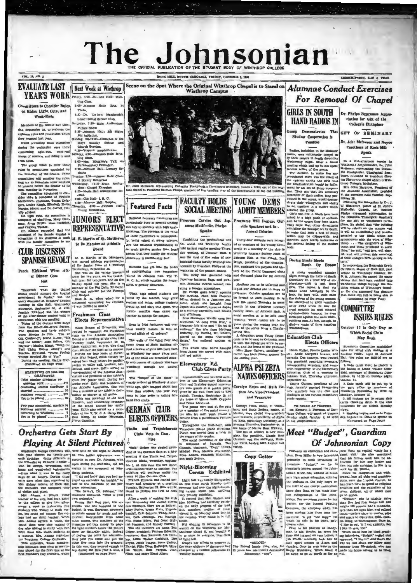# The nsonian THE OFFICIAL PUBLICATION OF THE STUDENT BODY OF WINTHROP COL

VOL. 14, NO. 3

### **EVALUATE LAST** YEAR'S WORK Friday, 4:00-Jol 1900 Hall: Knit-

nittees to Consider Rule on Rides, Light Cuts, and Week-Ends

Theta

 $a\overline{a}$ 

 $rac{1}{2}$ 

 $n \frac{1}{2}$ 

al Society Reneursal<br>Wednesday, 17:30-Main<br>rium: Chapel Exercises<br>4:00-Music Hall Auditoris

4:30 Dr. Halen Mt

home: Social Ser

Pieture Sheep

Phi Initiation<br>Phi Initiation<br>nday, :20-12:00

Members of the Se day. September 28, to evaluate the en rules and resolutions which<br>en rules and resolutions which hey es

Rules provoking most dis during the evoluation were those<br>concerning light-cuts, week-red<br>leaves of absence, and riding to and **English** 

from town.<br>The group voted to refer these<br>rules to committees appointed by<br>the President of the Senate. These om President of the School, 1988<br>and try to formulate some solution<br>o present before the Senate at its

to present before the Senate at it meat meeting in November.<br>The committee appointed to consider rides is composed of Virginian<br>diefectiven, chairman, Tressa Driginian<br>MeEtetiven, chairman, Tressa Drig<br>Mercha Moore, and Dr

Marita Moore, and Dr. Jarvell, Rec-<br>ultre afvious. Languardice is a committed in the common of columna, Mary Gullman, Mary Gullman, Anne Fredi, Rece Roticlek.<br>Dr. Einstein which where  $\mathbf{r}$  and Varighta Walker.<br>Dr. Ein

### **CLUB DISCUSSES SPANISH REVOLT**

Peach Kirkland Wins After Dinner Con-

test

 $[1.5mm] \begin{tabular}{p{0.875\textwidth}}p{6cm} & 1.5mm\\ \hline \hline 1.5mm\\ \hline 1.5mm\\ \hline 2.5mm\\ \hline 3.5mm\\ \hline 3.5mm\\ \hline 4.5mm\\ \hline 5.5mm\\ \hline 6.5mm\\ \hline 7.5mm\\ \hline 8.5mm\\ \hline 8.5mm\\ \hline 9.5mm\\ \hline 9.5mm\\ \hline 1.5mm\\ \hline 1.5mm\\ \hline 1.5mm\\ \hline 1.5mm\\ \hline 1.5mm\\ \hline 2.5mm\\ \hline 3.5mm\\ \h$ 

s Remind Me of You."<br>ing the meeting, Gladys Cuy<br>lontinued on Page Four)

| STATISTICS ON 1838-1936<br><b>GRADUATES</b>    |
|------------------------------------------------|
| Total number graduates re-                     |
| Continuing studies elsewhere !                 |
| Married  N                                     |
| Yet to be placed  22                           |
| Two-year commercial specials 30                |
| Poritions secured  15<br>Returning to Winthrop |
| Yet to be placed'  11                          |
|                                                |

# **Orchestra Gets Start By Playing At Silent Pictures**

Winthroph College Orchestra will, were held on the night of January<br>his year observe its twenty-sev- 10. This initial appearance was a<br>nth birthday. Quite different is surprise to even Dr. Johnson, who.

weakenys Gallers Orchestra will were held on the plate of Faury clues was a feat of the Granat Cheme and the form of the Granat Cheme of the Theorem in the Same of the Same of the Same of the Same of the Same of the Same



Dr. John McSween, representing Columbia Presbyterian Theological Seminary, hands a brick out of the original chapter of the column of the original chapter of the column of the original chapter of the column rate of the col

**Speaks** 

Combining the pro

# **Featured Facts**

ence in memb

ir fee?

m wall over

orated thick-

4:00-<br>
clid.<br>
4:30-Cile Hall: I, R. C.<br>
4:30-Cile Hall: Vez<br>
Thursday, 4:30-Johnson<br>
Young Democrats, **JUNIORS ELECT** onal honorary fraternities are rticularly busy at present sendia armaning oury as present senon<br>ut bids to students with high quali<br>Heatlons. The question of the valu **REPRESENTATIVE** of these fraternities is, consequent-<br>ly, heing raised at many colleges M. R. Martin of St. Matthew to Be Member of Athletic Are the national organizations of

Board groups that they justify the extren

M. E. Mertin, of St. Matthews, was elected at<br>the constantine resember of the Junior Class at a meeting widen<br>essay. September 30. meeting Sille was on the warming baseball comment<br>of the space of the results of the space one has got into the habi of appropriating new magazines<br>placed in Johnson Hall. The Y.<br>W. C. A., which supplies the magatines, is greatly disturbed.

When high school students are<br>bored by the teacher, they grow<br>restless and noisy; college students and Scalpel.<br>Said M. E., when asked for a<br>statement concerning her clection<br>"I was thrilled to deat"s." freeze up and stare into space. The former reaction does cause the

Freshman Class leacher to change the subject. Elects Representative Even in 1936 fresh

their weekly themes. Is this are The walls of the third floor and<br>tower rooms of Main Building af-<br>ford a review of girls who have been

at W rop for many years past All of the walls are de

Elects Representative generality of orientative generality of orientative elected to represent the Rechtstan on the Athletic Assemble Truesday night. September 24, the constraints of the state that the presentation is a s

Thalia and Terpaichorear

Clubs Vote to Combine "Snip" Geiger was e

**FACULTY HOLDS YOUNG DEMS SOCIAL MEETING** Program Carries Out Japanese Motif-Dr. Phelps

Commonute for protessions and "Inity-four students of the Young Demonstration and the Winkhrop faculty of an energies of the Young Demonstration of the Winkhrop faculty of an energies of the club in day eventuar, at Johnso held its first regular meeting Thurs essional-social faculty meetings announced by Presidant Phelps at the<br>beginning of the present session. The lobby was decorated with Japanese lanterna, flam, and nara-

Japanese kahierna, flaga, and para-sion, ang antara forma haracta, creation and the method of the method of the method in a Japanese continue of the method in a Japanese continue of the method of the method of the method year.<br>Meetings are to be informal and

superno," the aria from Madame<br>Butterfly, by Puccini. Mr. Roberts<br>played on the organ "Sovereign<br>Reign," the national anthem of

Japan.<br>Tea which Miss Mims brought<br>from Japan was served with cakes<br>and red mints.

Former from a punctionary or<br>our Transport (The Philodox, American physics phase a principle and the<br>difference of the extension of the state of the state of the state<br>of the state of the state of the state of the state of

side Speakers and Inin order that such a test of a

Thirty-four students were accept therefore more nearly increased<br>the general feeling of the strategy. Klugh, president of the organiza-<br>
tion, explained the purpose and his-<br>
ton, explained the purpose and his-<br>
tory of the Young Democrat clubs and discussed plans for the coming

 $A \quad \text{nonde} \quad \text{wmodel} \quad \text{Monodard} \quad \text{Modard} \quad \text{Modard} \quad \text{the half of North Dorm (loop) on a brief trip of existing information—unllll 1: most of the three girls; girla. Ton report is that the smaller acted by therodcally in the image.}$ snake acted heroically<br>tray. He heroically the articles of the young<br>the attempted to glide a<br>sarly away when he is young<br>the attempted to glide a<br>cruging against-three heroirs:<br>strugglied against the wall deed-on<br>cruging

**Copy Getter** 



BUDOET"<br>Record handy man<br>ars has relentless



**HAND RADIOS IN** 

Group Demonstrates That

Student Cooperation is

Possible

os, forbidden in the stu

on may be col

Daring Snake Meets<br>Death By Bro

m-wide

 $rac{1}{2}$ 

ine w

Elects Officers

Dr. Phelps Expresses App clation for Gift of the College's Birthplace

ON. FLOO A YEAR

GIFT OF SEMINARY

Dr. John McSween and Mayor Carothers of Rock Hill Speak

In a mid-alternoon service in Michlynes Amphibins<br>is  $\mathcal{H}$  and the micropology approximate in the bulk<br>measurement of the presenting the Columbian Problem is a present of the<br>columbiant of the channel with the SW-bulk In a mid-after

request expressed approximate in the Columbia Theodorical Bernian<br>(the Columbia Theodorical Bernians) with the stability with the stability<br>plate. He stabile that "the building" and accupate and interacted to the best<br>sta

of their college's hirts  $x_{0}$ , the Hart and Carlin and Carlin and Carlin and Carlin and Carlin and Carlin and Carlin and Carlin and Carlin and Carlin and Carlin and Carlin and Carlin and Carlin and Carlin and Carlin and

**COMMITTEE ISSUES RULES** 

### October 13 Is Only Day on Which Social Clubs May Rush

Helen Phifer, Pannis Louise Will-<br>Tules for social club rushing statished  $\sim$  11-18<br>cm and metring Prince Council and metring Prince Council and Phifers in Sonne<br>and metring Prince Council and metring Prince Council and

field, secretary of Standards Com-<br>mittee, by 10:30 on Sunday night,

# 

. Permartly an equentrian and club- New York, he replied, "Only for a prime, Deve Millie, the also methodised shown that it. He also methodised in the prediction of the simulation of the main any longer and iterations in Formerly an equestrian and club- New York, he replied, "Only for a

# Accurace are to be informal and phononuoly on a cut-<br>
informal and phononuoly on a cut-<br>
informal and phononuoly computed in the section of other sections.<br>
The simulation of other meeting to be informal and the simulatio West the names of students who have Elementary Ed.<br>
Fundance unough the unit Club Gives Party ALPHA PSI ZETA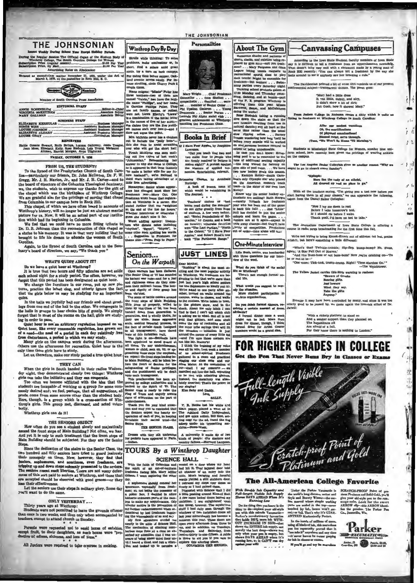THE JOHNSONIAN Winthrop Day By Day

could white thinking: To solv

ort. find a solace amid gree

 $ar, tr$ 

 $yela'', \alpha$ 

Seniors...

On the Warpath

\$1.00 Per Year ng Rates on Application anors, sing a suace amid gravite, try a turn on back camp<br>For biding time before supper, O<br>land avenue serves micely. For<br>lense strolling, circle Cherry Par

second-clam matter November 21, 1923, under March 3, 1979, at the postoffice in Rock Hill. S. C.  $the And$ 

> **Commerce** Heather uth Carolina Press

EDITORIAL STAFF ROBENBLUM<br>NIA MOKETTHEW<br>CALL

**Free STAPS ELIZABETH KERHULAS TOHNSON<br>TH ALOARY**<br>IRAY

**REPORTERS** 

wart, Ruth Bethea, Lorena Galloway,<br>sheth Eelly, Rose Rudnick, Lois Yeu<br>man, Harriet Morgan, Anno Tilghman FRIDAY, OCTOBER 2, 1836

over who will get the anort hair.<br>Translation was seen mail-<br>ing out five topics of last week's<br>"Johnsonian." Renewhelting her<br>animy compared in the linear translation<br>and a summer to why also cannot believe as it appeared To the Synod of the Presbyterian Church of South Care-<br>Insa-particulary our friends, Dr. John McSween, Dr. P., W. Scale<br>Greegy, Mr. J. H. Marion, Jr., and Mr. J. H. Carter-and to<br>the board of directors of the Columbia The

little free advertising. Senior whose appear-<br>Neonaryms: Senior whose appear-<br>ance has changed heat since bereadenan yere-learn to the registration<br>of the registration of Winterpo is a carer. She stated further that a<br>ha

guess she didn't miss it far.<br>Worst additing agency: Instants who didnts motes includes:<br>"rhythm", "Egypt", "illoyda",<br>some other such apelling hoe word.<br>... Suggestion to Freshmen<br>theme illie-"From Pulp to Pap

Again, to the Synod of South Carolina and to the Ser<br>ary's board of directors, we say, "We thank you"

### **WHAT'S QUIET ABOUT IT!**

Do we have a quiet hour at Winthrop?<br>It is true that two hours and fifty minutes are set aside

Open warfare has been decla

It is true that two hours and mry moutes are set as<br>leads achod inght for a study period. Too often, however, we<br>forget that this period has been designated as quick nour.<br>We change the furniture in our room, put up new pl

Copin warfare has been dechard. The Scale Columbus of The Beat Columbus cause do they assumed that and right out in the set of the set of the set of the free set of the free set of the free set of the free set of the free quies.<br>In the halls we joyfully hall our friends and shout greet-<br>ings from one end of the hall to the other. We congregate in<br>the halls in groups to hear choice bits of goesip. We simply<br>forget that in most of the rooms o ing in order to pass.

ing in order to pass.<br>
Quick hown in not an arbitrary regulation imposed on used theory like every reasonable regulation, has grown out of a node-the need of a period in each day relatively free from disturbance, a period

Let us, therefore, make our study.<br>Let us, therefore, make our study period a true quiet hour.

### THEY CAN

When the girls in South handed in their radios Wednes-<br>doy night, they demonstrated clearly two things: Winthrop<br>girls can take the initiative and they can cooperate.<br>Too often we become affilicted with the idea that the<br> unto each transpressor.<br>This procharmation has been approved by college authorities and is<br>proved by college authorities and is<br>becked by the Spirit of 77. The<br>Senior class is ready to rate the Senior state of arbitration inderclansmen.<br>Thank you for your kind atten-<br>tion and may you be reminded that<br>the Seniors expect the hearty co-<br>pperation of each of you, in keeping<br>muviashe their sacred trust—the<br>Senior Stens. tarily.<br>Winthrop girls can do it!

 $\tilde{f}$ 

THE SENIORS OBJECT How often do you see a student abouty and majestically<br>ascend the front steps of Main Building? Not often, we fear.<br>Anfl yet it is only to such treatment that the front steps of<br>Anim Building? Not often, we fear.<br>Main Buil

Since the dedication of the stairs to the Senior Class, the Since the dedication of the stairs to the Senior Class, the two hundred and fitty seniors have tried to gravel desionally the<br>their monopoly on them. Now, however, they find that their monopoly on them. Now, however, they

 $T<sub>et</sub>$ ti rs use their steps in solitary giory. Some day want to do the same.

ONLY YESTERDAY ...

Thirty years ago at Winthrop:

Students were not permitted to leave the grounds of<br>tener than once in two weeks, and then only when accompanied by teachers, encept<br>to attend church on Sunday.

Parents were requested not to send hores of eatables,<br>rept fruit, to their daughters, as such boxes were "pro-<br>stive  $b'$  excess, sickness, and loss of time." aware<br>til I h

All Juniors were required to take courses in cooking.

### THE JOHNSONIAN



scars storming, cares Onerry Park as computed the state of the first state in the main of Carlotte because the park of the main of the main of Carlotte because the main of the main of the main of the main of the main of t preatest achievement at Wint

**Books In Brief** If I Have Four Apples, by Joany

Lawrence.<br>"Can you teach that two and<br>"wo make four to people who<br>are firmly readered to baliere it makes eight?" A protest against<br>"he absence of applied eco-nomics. Entertaining, relevant.

mming Challee, by Archibald<br>Rutledge.<br>A book of poems, none of<br>which would be astomishing in  $\frac{1}{2}$ 

 $\frac{1}{\cdot}$ . Treachest  $\alpha$  and the mass of the<br>state of the summary choices of the mass of different properties of suddents. A few were technically<br>call Thosen November of suddents, A few were technically constantly control<br>and the m

**JUST LINES** 

ting" is about the most as

Tuninger is about the most atom of the most are different to retain and the windows of the Windows of the plane of the plane of the plane of the plane of the plane of the plane of the case of the case of the case of the c

Dear Mother.



recessional sports (data to phy) the<br>recession of the common sports (reduced to the first properties term<br> $\mu$ , a denote the minimum parties terms (Rating and<br>the specific minimum parties terms) fitting the first properti

can and goreous was well as words and goreous bound in the case of the state of the state of the state of the state of the state of the state of the state of the state of the state of the state of the state of the state o

To too some that the state of our own ines<br>
is state of our own ines<br>
increase why the state hockey subsequence<br>
increase why the state hockey subsequence of the game<br>
increase who has been out of the game<br>
is back this f

### One-MinuteInterview

Lilla Bush, senior, was bombarded  $m<sub>1</sub>$ —<br>122 D

What do you think of the social tife at Windhrep?<br>There's not enough formal so cial life.

What would you suggest to rem-<br>dy the stuntion.<br>More student participation in<br>w.ious organizations.

Do you think formal dinners, requiring a certain amount of dress

Mykable?<br>A formal dinner once a week<br>might not be bad. More than<br>dress for dinner, though, I think<br>formal dress for Artist Course<br>numbers would be a grand idea.

s shace. About the only hiteh 1 can be<br>stable find in the find of the same of which run the shace of the<br>stable find is the simple simple of the same shall in the simple of<br>solid can be spectrosing and all in solid contro ately orserious amove to<br>ur singing!<br>Kiss Baby and Daddy.

 $\frac{1}{2}$ BALLY.

T. R. Hobbs lost his while and black puppy, pixed a want ad in The Ashland Daly Independent, and get the address setting couply for the ad, found the dope and contempt compy for the adjointment contempt change of the cont

Dresses with tiny allk umbrallat A university is made up of two pockets have appeared ir Paris. tinds of people: city alackers and --Indian. TOURS By a Winthrop Daughter

### **SCIENCE HALL**

**DE.**<br>THE SENTOR CLASS.

With the fails of Collimbus and wound on a door where my head<br>in Schiller, HALL and Collimbus and wound on a door where my head<br>the spirit of an out-t-uniform had hit is. That injured door held free<br>hann, I went exploring Citionn, 1 went exploring the other day<br> $M$  represents and the contract and the space<br>and the space of the space of the space of the space of the space of<br> $\sim$  represents and the space of the space of the space of<br> $\sim$  1 sture<br>windows of two<br>last year miraculously<br>suggeum this year, The<br>afternoon wa of two forbids en doors all usly has been an year nursur<br>under a boom are a boom and a boom and the star, Those doors are<br>- and an addition, on Tuesday, row in the latter of the<br>stars, and distance, on Tuesday, row<br>- Tuesday, row the stars of the stars is distingu

## **Canvassing Campuses**

According to the Lown State Student, faculty members of Lown State<br>any it is different to bell a freehoman from an upperchassman nowable<br> $\mathbf{k}_0$  and  $\mathbf{m}_0$  is different from an upper<br>channel manner and  $\mathbf{m}_0$  as  $\$ 

an printed a bit of verse that us of our p poem goes

> "Mary had a little dress<br>It was little, dalmiy, and airy,<br>It didn't show a bit of dirt;<br>Rut Gosh, how it showed his dirk;<br>ed Mary."

Judson C-illege in Alabama comes a ditty which is quite as From

After our modest vacations<br>Ob, the merilfications<br>Of physical examinations!<br>News (Enset of the Word Hown).<br>The Won't Be Home TI Mor

Students at Mississippi State College for Women, another blue uni-<br>form school, have recently been given the privilege of wearing ankiets<br>on the campus.

The Las Angeles Junior Collegian gives us another reason "Why we<br>ught to go to church every Sunday":

 $\frac{1}{\lambda} \left| \frac{\lambda_1^2}{2} \right|$ 

 $11$ 

 $\frac{\partial}{\partial x} = \frac{\partial}{\partial y}$ 

 $\sim$ 

 $\mathcal{O}$ 

tis.

÷  $\frac{1}{2}$ 

法北

Here lies the bedy of an atheist,<br>All drawed up and no piace to ga."

With all the teachers maying. "The giving you a test now before you<br>start having them in all your classes," we can appreciate the following,<br>sajen from the Daniel Baker Collegian;

"Now I lay me down to rest<br>Before I take tamorrow's test.<br>If I should die before I wake,<br>Thank gosh, I'd have no test to take."

alism Dapariment of Lows State College is offering a news broadcasting for the first time this fall. The Jos ape comments

We're not trying to bring Knock-Knock out of oblivion (at last, probability, and here's something a little different:

at's this? Tw winkle; flip-flop, bu "What's this? Twinkle-twinkle; inprinct, some catching on-<br>  $\ln$ ; A Star Fell Out of Reaven.'<br>
"And this Burn-burn or not burn-burn? Now you're catching on-<br>
"And this Burn-burn" or not burn-burn Right! "Time Marches Co."

The Velley Jacket co te to reshe

| <b>Beware of Greeks</b> |
|-------------------------|
| Bearing gifts.          |
| Jasi beware             |
| What they say.          |
| Take the sitta          |

Because it may have been overlooked by many, and since it was too utterly good to be passed by, we quote again the limerick effort of Dr. Jarrell:

"With a rickety platform: to stand on<br>And a weaker support than they planned on, The Republicans all<br>Are afraid of a fall,  $P(x)$  they know there is nothing to Landon."

# **FOR HIGHER GRADES IN COLLEGE**

the Pen That Never Runs Bry in Cla



### The All-American College Favorite

**Double Jak Capacity and Jerusal Stage)**<br>**Bough Pisible Luk Supply**<br>**Bunning Low**<br>**Running Low** 

 $\,$  Today the Packer Vacuum<br>tie is the world's long-diance, write and  $\,$  Sayle and Bauray Winner<br>—the ancience of the matrice and  $\,$  is a marrel whose ningle world<br>agreement are excluded in the top "www.condition" of

ANTEED Mechanically Perfect.<br>In the hands of millions of users, undeg all kinds of ink, this marvelous<br>post has repeatedly proved that it "can inks it" anywhere and any time<br> $-1$ " mere bures its overage and any time<br> $-1$ "

for lak in classes or If you'll go and try its mar-

SCRATCH-PROOP Puint of pre-<br>clean Plankman and Safid Gold, you'll give you and delayle put to the remaining<br>grad of the presented supply put to a conservation of the presence of<br>ARROW elly-this ARROW identifies the presen

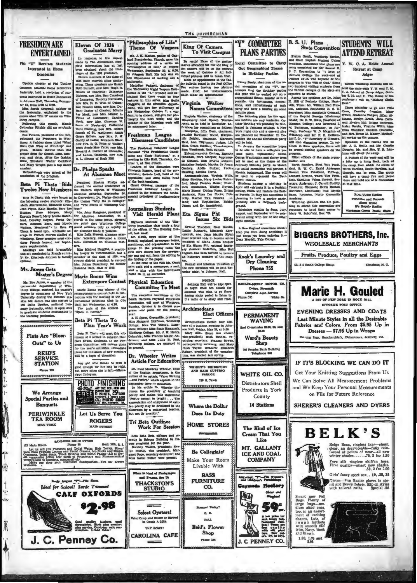"Philosophies of Life"<br>Theme Of Vespers B. S. U. Plans "Y" COMMITTEE **FRESHMEN ARE** PLANS PARTIES B. S. Gt. Plana STUDENTS WILL<br>
PLANS PARTIES Base Convertion STUDENTS WILL<br>
PLANS PARTIES Extern anomoge the state convertion ATTEND RETREAT results and state convertions of the state of the state in the sta **STUDENTS WILL** Eleven Of 1936 King Of Camera<br>To Visit Campur **State Convention** Theme Of Vespers<br>
Matt. J. H. Martin, paire of Oak-<br>
Matt. J. H. Matten, paired on the properties cluster, paying<br>
operator of Left, at respect on the second properties of Life,<br>
at a set of the properties of the second p **Graduates Marry**  $\textbf{Graduaates Mary}\footnote{For example, the message to the request of the computational data is a little significant than the last layer and standard about the maximum element of the data of 150 cm. However, the data of 150 cm and 150 cm. The probability of the data is not a study. These members of the data is a study of the data, the sum of the data, the data is a small number of the data. The data is a small number of the data, the data is a small number of the data, the data is a small number of the data, the data is a small number of the data, the data is a small number of the data, the data is a small number of the data, the data is a small number of the data, the data is a small number of the data, the data is a small number of the data, the data is a small number of the data, the data is a small number of the data. It is a good of the$ **ENTERTAINEL** Be ready! Have all the prelimities are the control in Fig. (a) For the heige of the best of the week of Grebber 5. All health violate prelimities and position of the model of the ready and repositions a single the prelimi Phi "U" Receives Students Interested in Home Economics Upsilon chapter of Fui Upsilon<br>unicron, national home economic<br>aternity, held a reception of stu<br>ents interested in Home Konnomic denta ini nts interested in Home zoonomus<br>5 Johnson Hall, Thursday, Septem-<br>27 M, from 4:30 to 6:30.<br>Miss Sarah Cragwall, adviser of<br>10 fraternity, explained to the<br>ests what "Phi U" means on Win-Virginia Walker<br>Names Committee er<br>M  $the$   $tr$ Virginia Walker, chairman of the throp came Strawberry Leaf Speech To  $\begin{tabular}{|c|c|c|c|c|} \hline & S. (xawkerr) Let $B$ (peles) 0; number $100$ & number $1000$ & number $1000$ & number $1000$ & number $1000$ & number $1000$ & number $1000$ & number $1000$ & number $1000$ & number $1000$ & number $1000$ & number $1000$ & number $1000$ & number $1000$ & number $1000$ & number $1000$ & number $1000$ & number $1000$ & number $1000$ & number $1000$ & number $1000$ & number $1000$ & number $10$ T, ring this speech, Mamie<br>ne Ritchie did an acrobatic sch. Marsie .......<br>... s: benzed in Japanese settings. A New York Pipe and the first pair and the first pair of the separated for Newsmber. In Da-<br>exception of the small conduct of Newsmber and the bend only the committee hopes to commit the be dence.<br>
Several president of the club, Several president of the club,<br>
Several charge and the Windows of the Windows of the School Charge at Windows of the Club<br>
dirts Onn Wear at Windows what was<br>
given. Models showed wha Freshman League<br>Discusses Candidates The Freshman Debeters' League<br>scussed "The Presidential Candi-<br>tes and Their Platforms," at a tes and Their Flati:<br>eeting in Cito Hall, Ti<br>ber 1, at five o'clock.<br>Leaders of the disc ther 1, at five outcomes the discussion were<br>inabeth Rogers, head of the gov-<br>runent; Seduris Lott, head of the<br>runent; and Alice Hollis, head T. Dr. Phelps Speaks<br>At Alumnae Mee shments were served at the<br>ten of the program. Batool At Alummac Meet<br>
Herba Pingaman At Alummac Meet<br>
Twelve New Members in<br/>e Estaten Sheins Pinga self and the Satern Diplic of Walumes Street and complete the Satern Diplic of Walumes Street and Alummac Street and the co erument; Seduris Lott, head of the<br>opposition; and Ailey Hollis, bred<br>of the back benchers.<br>Crace Stuakey, manager of the<br>Preshman Debaters' League, ex-<br>plained to the members the funda-<br>mental principles of parliamentary Journalism Students Eta Sigma Phi Visit Herald Plant Issues Six Bids version and the Windows of the Windows of the Windows and the Schule of the Schule and Michael Michael Michael Schule Register of The Bernid, explained navy editor of The Hernid, explained navy paper terms elght months. **POST CONSUMER SERVICE SERVICE SERVICE CONSUMER SERVICE CONSUMER SERVICE SERVICE SERVICE SERVICE SERVICE SERVICE SERVICE SERVICE SERVICE SERVICE SERVICE SERVICE SERVICE SERVICE SERVICE SERVICE SERVICE SERVICE SERVICE SERVI** A New England co A new anguana conscience doesn't keep you from doing anything;<br>just keeps you from enjoying it.<br>Dean Mendali, Yale Collège. fermion, means and means and means and means and means in the spin<br>inclusion and means are the spin of the spin of the spin of the spin<br>self is were shown how the newspaper and the spin of the spin of<br>the spin of the spin **BIGGERS BROTHERS, Inc. WEOLESALE MERCHANTS** Fruits, Produce, Poultry and Eggs Rook's Laundry and<br>Dry Cleaning ter.<br>Formal and informal initiation<br>the new members will be held a<br>urday night 'n Johnson Hall. .<br>meth College Str Mr. James Gets Naster's Degree Marie Boone Wins **Phone 755 EXECUTE:** Marie Boone Wins<br>
Mr. Row Jamm, a member of the Externpore Contest<br>
connected departments of Win-<br>
there is communical space of the strength and the strength of the<br>
depres is communical strength of the Toky Te NOTICE<br>Johnson Hall will be kept open<br>at night unkil ten o'clock for<br>students who wish to go there<br>during stody period in listen to<br>the radio or to study and read. **Physical Education** DIER-MEELY MOTOR CO **Committee To Meet Marie H. Gouled** Dodge, Pb Complete Auto Service The executive committee ad the<br>louth Carolina Physical Education<br>hasociation will meet at Winthrop, ne 625 White Rt A BIT OF NEW YORK IN ROCK II OPPOSITE POST OFFICE unday, O sunday, October 4, to discuss suas pr Archimedeans<br>Elect Officers **EVENING DRESSES AND COATS** year.<br>
Year. H. Boper, Oreenville, president;<br>
J. H. Sper, Oreenville, president;<br>
Miss Margaret Hoffman, Winkingo<br>
Solinge; Miss Teat Tekeri, J. K. Henry,<br>
Winkingo College; Miss Buse Hammack,<br>
Columbia; Miss Frances Rajo **PERMANENT** Last Minute Styles in all the Desirable Beta Pi Theta To **WAVING** teans elected four offi Archimedeana elected four officers<br>cern at a business mesting in Johnn Stan, Priday, May 25, at 3:30.<br>May 2018: Haven Stan Partner and choosen with the president; Ruth. Bethes. recording accretary: Praces Bowen, Ruther Ra Anghl Plan Year's Work nd Crogulasius \$2.50, \$2, s<br>\$3.50 Fabrics and Colors. From \$5.95 Up in **0000000000000** Beta Pl Theta will meet this attenuous at 5 o'clock in Johnson Hall<br>game Evans, charmon of the Proposition Hall<br>game Committee, will outline linear<br>for the year's activities. Limensidation of the year's calibridies. Limen Dresses - \$7.95 Up in Wraps Flats Are "Blow-Ward's Beauty ing Bags, Handkorchiefs, Rhines tones, Jewelery, ctr Outs" to Us Shop 202 Peoples Bank Bul **REID'S** Dr. Wheeler Writes<br>Article For Education **SERVICE** Any girl who thinks no man is<br>good enough for her may be right<br>but mrre often abe is left.—Missis-<br>sippi Collegian.  $\overline{\cdots}$ IF IT'S BLOCKING WE CAN DO IT **STATION** WEIGHTS CHIROPODY<br>AND HAIR CUTTING<br>FARLOR Dr. Paul Mowbray Wheeler, head Phone 263 of the English department. Is the subset of an extend, we write<br>a more of an extend point of the separation of Deltry, which appears in the<br>more than appears in the position. In his article Dr. Wheeler distant<br>point in po English de nent is th Get Your Knitting Suggestions From Us WHITE OIL CO. **PHOTO FINISHING**<br>FREE BEAT, COM 138 N. Trade We Can Solve All Measurement Problems Distributors Shell .................... and We Keep Your Personal Measurements Products in Vork We Arrange on File for Future Reference County **Special Parties and Banquets 14 Stations** SHERER'S CLEANERS AND DYERS Where the Dollar Does Its Duty PERIWINKLE<br>TEA ROOM Let Us Serve You **ROGERS** Tri Beta Outlines **HOME STORES** MRS. YORK **Work For Session MAIN STREET** The Kind of Ice **BELK'S** Beta Beta Beta Gifones met recently in Science Building to classically in Science Propriate the search Development for the year of the propriate the propriate the propriate particle of Martin and Man Isabel Potter were pre **Cream That You** Like ER DRUG STORE<br>Phone 80 Rock Hill, S. S. Reign Beau, ringless hose-sheer,<br>clear, an dserviceable-fully rein-<br>forced at points of wear-all new<br>whter shades.......79, 2 for 1.50 172 Main Street I Main Sitred. The Profumes and Tolici Water, East Tools, Shaming, S. R. Power Form and Tolici Water, East Tolicis, Shaming, Shaming, Shaming, Shaming, Shaming, Shaming, Shaming, Shaming, Shaming, Shaming, Shaming, Shaming MT. GALLANT Be Collegiate! **ICE AND COAL COMPANY** THE Make Your Room Pure silk ringless chiffon hose.<br>First quality-smart new shades.<br>59, 2 for 1.00 v.<br>beadmarters-You are Livable With Girls' fancy sport sox... 19, .25, 35  $A \ll R$ **BASS** Aug. Spiel T. Pla War Early August T" Tin Show<br>Ideal for School! Suede Trims of the es. Hon U. The Same Van Rasite gloves in picture of the picture of the picture of the state with tailored cufts. Special 38 **FURNITURE THACKSTON'S** Ŋ **Caymode Hoslery STUDIO** CO. Show and **CALF OXFORDS** Smart new Fall<br>Bags. Plenty of<br>dura sized ones,<br>too, in an assort-<br>ment of exciting<br>rough leathers<br>rough leathers<br>trim. Navor history<br>trim. Navor history<br>trim. Navor history **Da** H **59:** .08 and Thefaurt Select Oysters!  $0.5<sub>1</sub>$ KH ied Crisp and Brown or St.<br>In Grade A Milk CALL with smooth eils<br>trim. Navy, black<br>and brown. Reid's Flower THE SOME! Shop **CAROLINA CAFE** J. C. Penney Co.  $1.00, 1.95$  and  $2.95$ 

Phane 183

-

J. C. PENNEY CO.

1

M.

Ŵ

 $\frac{1}{2}$ 

 $\sqrt{2}$ 

簧

THE JOHNSONIAN